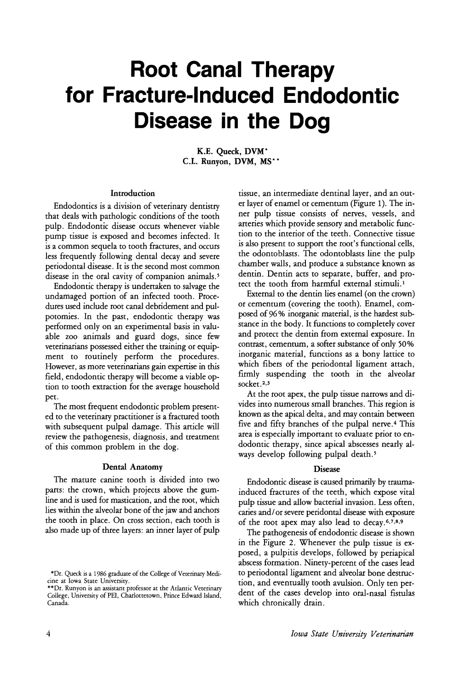# **Root Canal Therapy for Fracture-Induced Endodontic Disease in the Dog**

K.E. Queck, DVM\* C.L. Runyon, DVM, MS\* \*

## Introduction

Endodontics is a division of veterinary dentistry that deals with pathologic conditions of the tooth pulp. Endodontic disease occurs whenever viable pump tissue is exposed and becomes infected. It is a common sequela to tooth fractures, and occurs less frequently following dental decay and severe periodontal disease. It is the second most common disease in the oral cavity of companion animals.<sup>5</sup>

Endodontic therapy is undertaken to salvage the undamaged portion of an infected tooth. Procedures used include root canal debridement and pulpotomies. In the past, endodontic therapy was performed only on an experimental basis in valuable zoo animals and guard dogs, since few veterinarians possessed either the training or equipment to routinely perform the procedures. However, as more veterinarians gain expertise in this field, endodontic therapy will become a viable option to tooth extraction for the average household pet.

The most frequent endodontic problem presented to the veterinary practitioner is a fractured tooth with subsequent pulpal damage. This article will review the pathogenesis, diagnosis, and treatment of this common problem in the dog.

## Dental Anatomy

The mature canine tooth is divided into two parts: the crown, which projects above the gumline and is used for mastication, and the root, which lies within the alveolar bone of the jaw and anchors the tooth in place. On cross section, each tooth is also made up of three layers: an inner layer of pulp

tissue, an intermediate dentinal layer, and an outer layer of enamel or cementum (Figure 1). The inner pulp tissue consists of nerves, vessels, and arteries which provide sensory and metabolic function to the interior of the teeth. Connective tissue is also present to support the root's functional cells, the odontoblasts. The odontoblasts line the pulp chamber walls, and produce a substance known as dentin. Dentin acts to separate, buffer, and protect the tooth from harmful external stimuli.<sup>1</sup>

External to the dentin lies enamel (on the crown) or cementum (covering the tooth). Enamel, composed of 96 % inorganic material, is the hardest substance in the body. It functions to completely cover and protect the dentin from external exposure. In contrast, cementum, a softer substance of only 50% inorganic material, functions as a bony lattice to which fibers of the periodontal ligament attach, firmly suspending the tooth in the alveolar socket.<sup>2,3</sup>

At the root apex, the pulp tissue narrows and divides into numerous small branches. This region is known as the apical delta, and may contain between five and fifty branches of the pulpal nerve.<sup>4</sup> This area is especially important to evaluate prior to endodontic therapy, since apical abscesses nearly always develop following pulpal death.<sup>5</sup>

#### Disease

Endodontic disease is caused primarily by traumainduced fractures of the teeth, which expose vital pulp tissue and allow bacterial invasion. Less often, caries and/ or severe peridontal disease with exposure of the root apex may also lead to decay. 6,7,8,9

The pathogenesis of endodontic disease is shown in the Figure 2. Whenever the pulp tissue is exposed, a pulpitis develops, followed by periapical abscess formation. Ninety-percent of the cases lead to periodontal ligament and alveolar bone destruction, and eventually tooth avulsion. Only ten perdent of the cases develop into oral-nasal fistulas which chronically drain.

<sup>\*</sup>Dr. Queck is a 1986 graduate of the College of Veterinary Medicine at Iowa State University.

<sup>\*\*</sup>Dr. Runyon is an assistant professor at the Atlantic Veterinary College, University of PEI, Charlottetown, Prince Edward Island, Canada.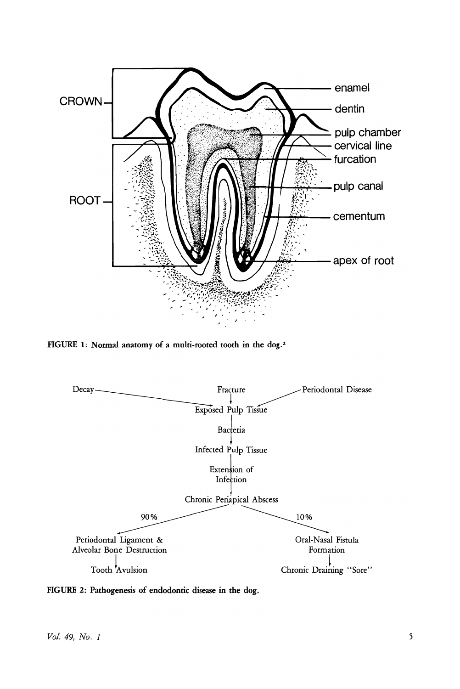

FIGURE 1: Normal anatomy of a multi-rooted tooth in the dog.<sup>2</sup>



FIGURE 2: Pathogenesis of endodontic disease in the dog.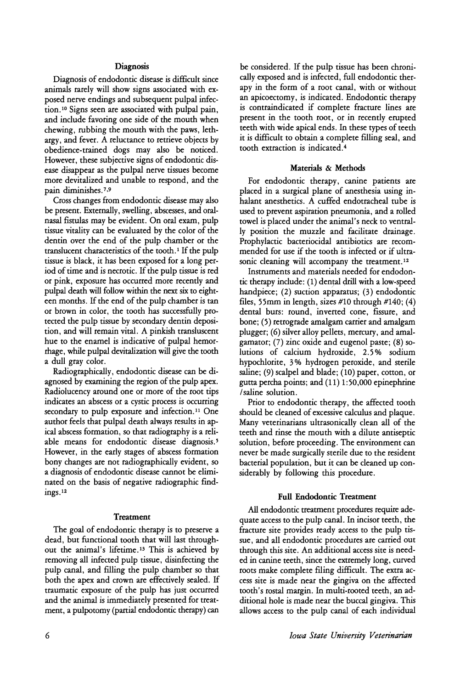## **Diagnosis**

Diagnosis of endodontic disease is difficult since animals rarely will show signs associated with exposed nerve endings and subsequent pulpal infection.<sup>10</sup> Signs seen are associated with pulpal pain, and include favoring one side of the mouth when chewing, rubbing the mouth with the paws, lethargy, and fever. A reluctance to retrieve objects by obedience-trained dogs may also be noticed. However, these subjective signs of endodontic disease disappear as the pulpal nerve tissues become more devitalized and unable to respond, and the pain diminishes. 7,9

Cross changes from endodontic disease may also be present. Externally, swelling, abscesses, and oralnasal fistulas may be evident. On oral exam, pulp tissue vitality can be evaluated by the color of the dentin over the end of the pulp chamber or the translucent characteristics of the tooth.<sup>1</sup> If the pulp tissue is black, it has been exposed for a long period of time and is necrotic. If the pulp tissue is red or pink, exposure has occurred more recently and pulpal death will follow within the next six to eighteen months. If the end of the pulp chamber is tan or brown in color, the tooth has successfully protected the pulp tissue by secondary dentin deposition, and will remain vital. A pinkish transluscent hue to the enamel is indicative of pulpal hemorrhage, while pulpal devitalization will give the tooth a dull gray color.

Radiographically, endodontic disease can be diagnosed by examining the region of the pulp apex. Radiolucency around one or more of the root tips indicates an abscess or a cystic process is occurring secondary to pulp exposure and infection.<sup>11</sup> One author feels that pulpal death always results in apical abscess formation, so that radiography is a reliable means for endodontic disease diagnosis.<sup>5</sup> However, in the early stages of abscess formation bony changes are not radiographically evident, so a diagnosis of endodontic disease cannot be eliminated on the basis of negative radiographic findings. <sup>12</sup>

#### Treatment

The goal of endodontic therapy is to preserve a dead, but functional tooth that will last throughout the animal's lifetime. <sup>13</sup> This is achieved by removing all infected pulp tissue, disinfecting the pulp canal, and filling the pulp chamber so that both the apex and crown are effectively sealed. If traumatic exposure of the pulp has just occurred and the animal is immediately presented for treatment, a pulpotomy (partial endodontic therapy) can

be considered. If the pulp tissue has been chronically exposed and is infected, full endodontic therapy in the form of a root canal, with or without an apicoectomy, is indicated. Endodontic therapy is contraindicated if complete fracture lines are present in the tooth root, or in recently erupted teeth with wide apical ends. In these types of teeth it is difficult to obtain a complete filling seal, and tooth extraction is indicated. <sup>4</sup>

#### Materials & Methods

For endodontic therapy, canine patients are placed in a surgical plane of anesthesia using inhalant anesthetics. A cuffed endotracheal tube is used to prevent aspiration pneumonia, and a rolled towel is placed under the animal's neck to ventrally position the muzzle and facilitate drainage. Prophylactic bacteriocidal antibiotics are recommended for use if the tooth is infected or if ultrasonic cleaning will accompany the treatment.<sup>12</sup>

Instruments and materials needed for endodontic therapy include: (1) dental drill with a low-speed handpiece; (2) suction apparatus; (3) endodontic files, 55mm in length, sizes #10 through #140; (4) dental burs: round, inverted cone, fissure, and bone; (5) retrograde amalgam carrier and amalgam plugger; (6) silver alloy pellets, mercury, and amalgamator; (7) zinc oxide and eugenol paste; (8) solutions of calcium hydroxide, 2.5% sodium hypochlorite, 3% hydrogen peroxide, and sterile saline; (9) scalpel and blade; (10) paper, cotton, or gutta percha points; and (11) 1:50,000 epinephrine /saline solution.

Prior to endodontic therapy, the affected tooth should be cleaned of excessive calculus and plaque. Many veterinarians ultrasonically clean all of the teeth and rinse the mouth with a dilute antiseptic solution, before proceeding. The environment can never be made surgically sterile due to the resident bacterial population, but it can be cleaned up considerably by following this procedure.

## Full Endodontic Treatment

All endodontic treatment procedures require adequate access to the pulp canal. In incisor teeth, the fracture site provides ready access to the pulp tissue, and all endodontic procedures are carried out through this site. An additional access site is needed in canine teeth, since the extremely long, curved roots make complete filing difficult. The extra access site is made near the gingiva on the affected tooth's rostal margin. In multi-rooted teeth, an additional hole is made near the buccal gingiva. This allows access to the pulp canal of each individual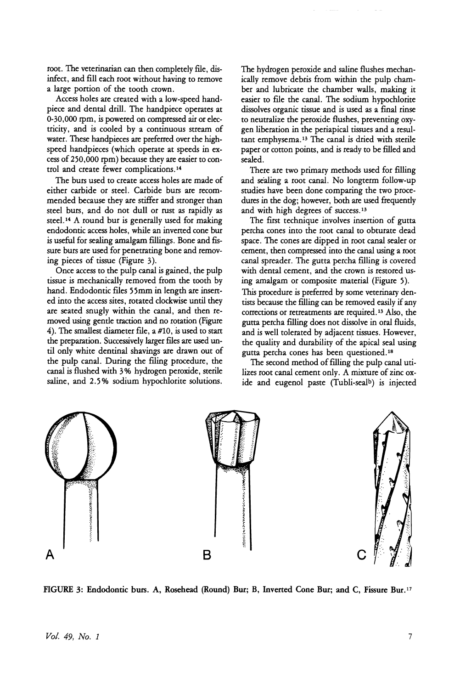root. The veterinarian can then completely file, disinfect, and fill each root without having to remove a large portion of the tooth crown.

Access holes are created with a low-speed handpiece and dental drill. The handpiece operates at 0-30,000 rpm, is powered on compressed air or electricity, and is cooled by a continuous stream of water. These handpieces are preferred over the highspeed handpieces (which operate at speeds in excess of 250,000 rpm) because they are easier to control and create fewer complications. <sup>14</sup>

The burs used to create access holes are made of either carbide or steel. Carbide burs are recommended because they are stiffer and stronger than steel burs, and do not dull or rust as rapidly as steel. <sup>14</sup> A round bur is generally used for making endodontic access holes, while an inverted cone bur is useful for sealing amalgam fillings. Bone and fissure burs are used for penetrating bone and removing pieces of tissue (Figure 3).

Once access to the pulp canal is gained, the pulp tissue is mechanically removed from the tooth by hand. Endodontic files 55mm in length are inserted into the access sites, rotated clockwise until they are seated snugly within the canal, and then removed using gende traction and no rotation (Figure 4). The smallest diameter file, a  $#10$ , is used to start the preparation. Successively larger files are used until only white dentinal shavings are drawn out of the pulp canal. During the filing procedure, the canal is flushed with 3% hydrogen peroxide, sterile saline, and 2.5 % sodium hypochlorite solutions.

The hydrogen peroxide and saline flushes mechanically remove debris from within the pulp chamber and lubricate the chamber walls, making it easier to file the canal. The sodium hypochlorite dissolves organic tissue and is used as a final rinse to neutralize the peroxide flushes, preventing oxygen liberation in the periapical tissues and a resultant emphysema. <sup>13</sup> The canal is dried with sterile paper or cotton points, and is ready to be filled and sealed.

There are two primary methods used for filling and sealing a root canal. No longterm follow-up studies have been done comparing the two procedures in the dog; however, both are used frequently and with high degrees of success. <sup>13</sup>

The first technique involves insertion of gutta percha cones into the root canal to obturate dead space. The cones are dipped in root canal sealer or cement, then compressed into the canal using a root canal spreader. The gutta percha filling is covered with dental cement, and the crown is restored using amalgam or composite material (Figure 5). This procedure is preferred by some veterinary dentists because the filling can be removed easily if any corrections or retreatments are required. <sup>13</sup> Also, the gutta percha filling does not dissolve in oral fluids, and is well tolerated by adjacent tissues. However, the quality and durability of the apical seal using gutta percha cones has been questioned. <sup>18</sup>

The second method of filling the pulp canal utilizes root canal cement only. A mixture of zinc oxide and eugenol paste (Tubli-sealb) is injected



FIGURE 3: Endodontic burs. A, Rosehead (Round) Bur; B, Inverted Cone Bur; and C, Fissure Bur. l7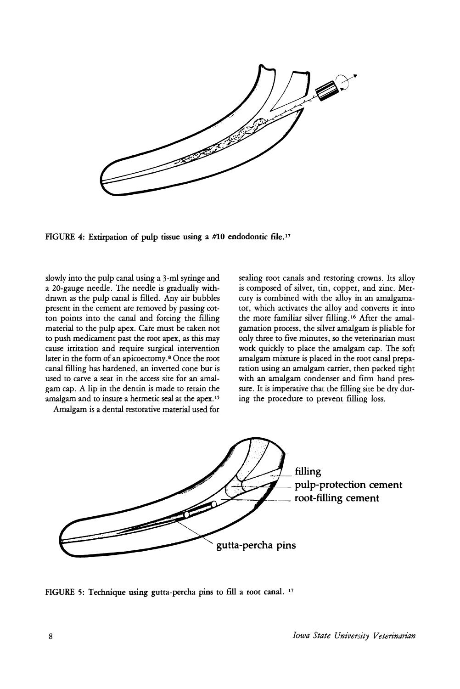and the same of the same of the same of the same of the same of the same of the same of the same of the same of the same of the same of the same of the same of the same of the same of the same of the same of the same of th

FIGURE 4: Extirpation of pulp tissue using a #10 endodontic file. <sup>17</sup>

slowly into the pulp canal using a 3-ml syringe and a 20-gauge needle. The needle is gradually withdrawn as the pulp canal is filled. Any air bubbles present in the cement are removed by passing cotton points into the canal and forcing the filling material to the pulp apex. Care must be taken not to push medicament past the root apex, as this may cause irritation and require surgical intervention later in the form of an apicoectomy.8 Once the root canal filling has hardened, an inverred cone bur is used to carve a seat in the access site for an amalgam cap. A lip in the dentin is made to retain the amalgam and to insure a hermetic seal at the apex. <sup>15</sup>

Amalgam is a dental restorative material used for

sealing root canals and restoring crowns. Its alloy is composed of silver, tin, copper, and zinc. Mercury is combined with the alloy in an amalgamator, which activates the alloy and converrs it into the more familiar silver filling. <sup>16</sup> After the amalgamation process, the silver amalgam is pliable for only three to five minutes, so the veterinarian must work quickly to place the amalgam cap. The soft amalgam mixture is placed in the root canal preparation using an amalgam carrier, then packed tight with an amalgam condenser and firm hand pressure. It is imperative that the filling site be dry during the procedure to prevent filling loss.



FIGURE 5: Technique using gutta-percha pins to fill a root canal. <sup>17</sup>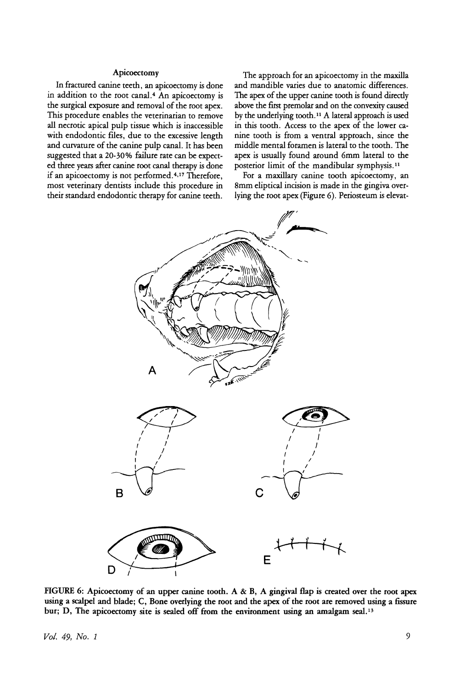#### Apicoectomy

In fractured canine teeth, an apicoectomy is done in addition to the root canal.<sup>4</sup> An apicoectomy is the surgical exposure and removal of the root apex. This procedure enables the veterinarian to remove all necrotic apical pulp tissue which is inaccessible with endodontic files, due to the excessive length and curvature of the canine pulp canal. It has been suggested that a 20-30% failure rate can be expected three years after canine root canal therapy is done if an apicoectomy is not performed. <sup>4</sup> ,17 Therefore, most veterinary dentists include this procedure in their standard endodontic therapy for canine teeth.

The approach for an apicoectomy in the maxilla and mandible varies due to anatomic differences. The apex of the upper canine tooth is found directly above the first premolar and on the convexity caused by the underlying tooth.<sup>11</sup> A lateral approach is used in this tooth. Access to the apex of the lower canine tooth is from a ventral approach, since the middle mental foramen is lateral to the tooth. The apex is usually found around 6mm lateral to the posterior limit of the mandibular symphysis.<sup>11</sup>

For a maxillary canine tooth apicoectomy, an 8mm eliptical incision is made in the gingiva overlying the root apex (Figure 6). Periosteum is elevat-



FIGURE 6: Apicoectomy of an upper canine tooth. A & B, A gingival flap is created over the root apex using a scalpel and blade; C, Bone overlying the root and the apex of the root are removed using a fissure bur; D, The apicoectomy site is sealed off from the environment using an amalgam seal.<sup>13</sup>

*Vol.* 49, *No. 1* 9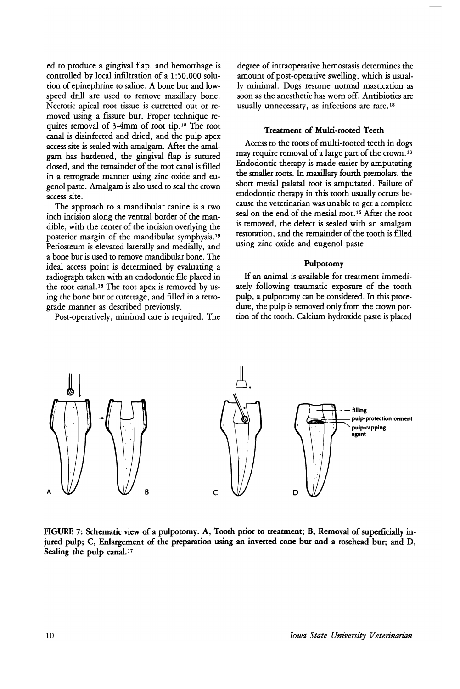ed to produce a gingival flap, and hemorrhage is controlled by local infiltration of a 1:50,000 solution of epinephrine to saline. A bone bur and lowspeed drill are used to remove maxillary bone. Necrotic apical root tissue is curretted out or removed using a fissure bur. Proper technique requires removal of 3-4mm of root tip.18 The root canal is disinfected and dried, and the pulp apex access site is sealed with amalgam. Mter the amalgam has hardened, the gingival flap is sutured closed, and the remainder of the root canal is filled in a retrograde manner using zinc oxide and eugenol paste. Amalgam is also used to seal the crown access site.

The approach to a mandibular canine is a two inch incision along the ventral border of the mandible, with the center of the incision overlying the posterior margin of the mandibular symphysis. <sup>19</sup> Periosteum is elevated laterally and medially, and a bone bur is used to remove mandibular bone. The ideal access point is determined by evaluating a radiograph taken with an endodontic file placed in the root canal. <sup>18</sup> The root apex is removed by using the bone bur or curettage, and fuled in a retrograde manner as described previously.

Post-operatively, minimal care is required. The

degree of intraoperative hemostasis determines the amount of post-operative swelling, which is usually minimal. Dogs resume normal mastication as soon as the anesthetic has worn off. Antibiotics are usually unnecessary, as infections are rare. <sup>18</sup>

#### Treatment of Multi-rooted Teeth

Access to the roots of multi-rooted teeth in dogs may require removal of a large part of the crown.<sup>13</sup> Endodontic therapy is made easier by amputating the smaller roots. In maxillary fourth premolars, the short mesial palatal root is amputated. Failure of endodontic therapy in this tooth usually occurs because the veterinarian was unable to get a complete seal on the end of the mesial root.<sup>16</sup> After the root is removed, the defect is sealed with an amalgam restoration, and the remainder of the tooth is filled using zinc oxide and eugenol paste.

#### Pulpotomy

If an animal is available for treatment immediately following traumatic exposure- of the tooth pulp, a pulpotomy can be considered. In this procedure, the pulp is removed only from the crown portion of the tooth. Calcium hydroxide paste is placed



FIGURE 7: Schematic view of a pulpotomy. A, Tooth prior to treatment; B, Removal of superficially injured pulp; C, Enlargement of the preparation using an inverted cone bur and a rosehead bur; and D, Sealing the pulp canal.<sup>17</sup>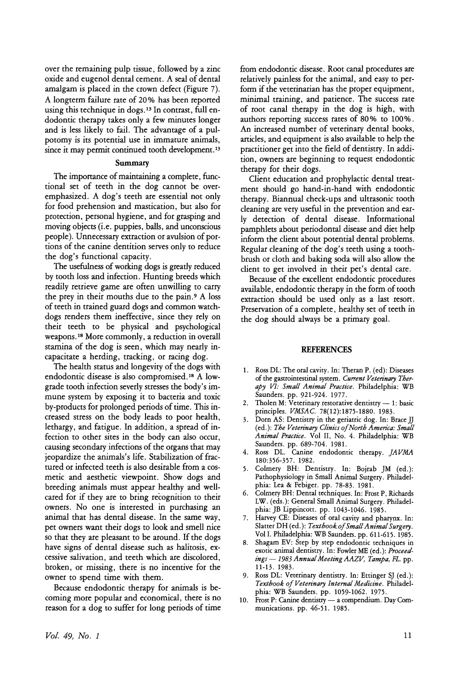over the remaining pulp tissue, followed by a zinc oxide and eugenol dental cement. A seal of dental amalgam is placed in the crown defect (Figure 7). A longterm failure rate of 20% has been reported using this technique in dogs.<sup>13</sup> In contrast, full endodontic therapy takes only a few minutes longer and is less likely to fail. The advantage of a pulpotomy is its potential use in immature animals, since it may permit continued tooth development.<sup>13</sup>

### Summary

The importance of maintaining a complete, functional set of teeth in the dog cannot be overemphasized. A dog's teeth are essential not only for food prehension and mastication, but also for protection, personal hygiene, and for grasping and moving objects (i.e. puppies, balls, and unconscious people). Unnecessary extraction or avulsion of portions of the canine dentition serves only to reduce the dog's functional capacity.

The usefulness of working dogs is greatly reduced by tooth loss and infection. Hunting breeds which readily retrieve game are often unwilling to carry the prey in their mouths due to the pain. <sup>9</sup> A loss of teeth in trained guard dogs and common watchdogs renders them ineffective, since they rely on their teeth to be physical and psychological weapons. <sup>18</sup> More commonly, a reduction in overall stamina of the dog is seen, which may nearly incapacitate a herding, tracking, or racing dog.

The health status and longevity of the dogs with endodontic disease is also compromised. <sup>18</sup> A lowgrade tooth infection severly stresses the body's immune system by exposing it to bacteria and toxic by-products for prolonged periods of time. This increased stress on the body leads to poor health, lethargy, and fatigue. In addition, a spread of infection to other sites in the body can also occur, causing secondary infections of the organs that may jeopardize the animals's life. Stabilization of fractured or infected teeth is also desirable from a cosmetic and aesthetic viewpoint. Show dogs and breeding animals must appear healthy and wellcared for if they are to bring recognition to their owners. No one is interested in purchasing an animal that has dental disease. In the same way, pet owners want their dogs to look and smell nice so that they are pleasant to be around. If the dogs have signs of dental disease such as halitosis, excessive salivation, and teeth which are discolored, broken, or missing, there is no incentive for the owner to spend time with them.

Because endodontic therapy for animals is becoming more popular and economical, there is no reason for a dog to suffer for long periods of time from endodontic disease. Root canal procedures are relatively painless for the animal, and easy to perform if the veterinarian has the proper equipment, minimal training, and patience. The success rate of root canal therapy in the dog is high, with authors reporting success rates of 80% to 100%. An increased number of veterinary dental books, articles, and equipment is also available to help the practitioner get into the field of dentistry. In addition, owners are beginning to request endodontic therapy for their dogs.

Client education and prophylactic dental treatment should go hand-in-hand with endodontic therapy. Biannual check-ups and ultrasonic tooth cleaning are very useful in the prevention and early detection of dental disease. Informational pamphlets about periodontal disease and diet help inform the client about potential dental problems. Regular cleaning of the dog's teeth using a toothbrush or cloth and baking soda will also allow the client to get involved in their pet's dental care.

Because of the excellent endodontic procedures available, endodontic therapy in the form of tooth extraction should be used only as a last reson. Preservation of a complete, healthy set of teeth in the dog should always be a primary goal.

#### **REFERENCES**

- 1. Ross DL: The oral cavity. In: Theran P. (ed): Diseases of the gastrointestinal system. *Current Veterinary Therapy VI: Small Animal Practice.* Philadelphia: WB Saunders. pp. 921-924. 1977.
- 2. Tholen M: Veterinary restorative dentistry  $-1$ : basic principles. *VMSAC.* 78(12): 1875-1880. 1983.
- 3. Dorn AS: Dentistry in the geriatric dog. In: Brace]] (ed.): *The Veterinary Clinics ofNorth America.' Small Animal Practice.* Vol II, No.4. Philadelphia: WB Saunders. pp. 689-704. 1981.
- 4. Ross DL. Canine endodontic therapy. *jAVMA* 180:356-357. 1982.
- 5. Colmery BH: Dentistry. In: Bojrab ]M (ed.): Pathophysiology in Small Animal Surgery. Philadelphia: Lea & Febiger. pp. 78-83. 1981.
- 6. Colmery BH: Dental techniques. In: Frost P, Richards LW. (eds.): General Small Animal Surgery. Philadelphia: ]B Lippincott. pp. 1043-1046. 1985.
- 7. Harvey CE: Diseases of oral cavity and pharynx. In: Slatter DH (ed.): *Textbook.of Small Animal Surgery.* Vol I. Philadelphia: WB Saunders. pp. 611-615. 1985.
- 8. Shagam EV: Step by step endodontic techniques in exotic animal dentistry. In: Fowler ME (ed.): *Proceed* $ins - 1983$  *Annual Meeting AAZV*, *Tampa*, *FL.* pp. 11-13. 1983.
- 9. Ross DL: Veterinary dentistry. In: Ettinger S] (ed.): *Textbook ofVeterinary Internal Medicine.* Philadelphia: WB Saunders. pp. 1059-1062. 1975.
- 10. Frost P: Canine dentistry a compendium. Day Communications. pp. 46-51. 1985.